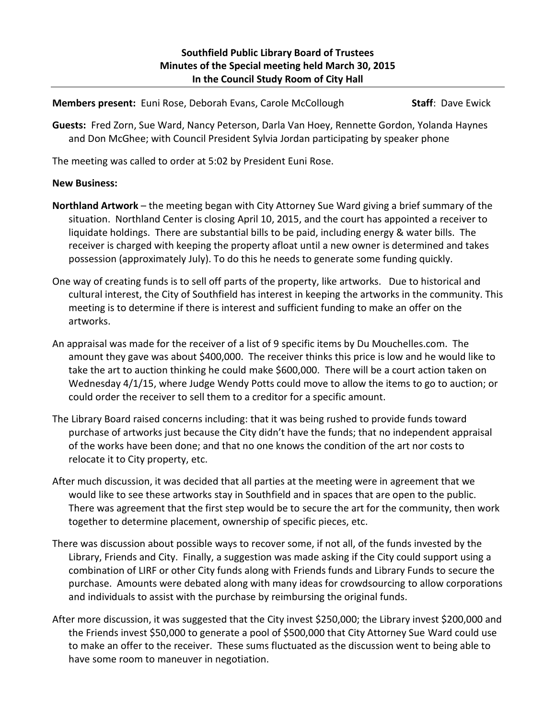**Members present:** Euni Rose, Deborah Evans, Carole McCollough **Staff**: Dave Ewick

**Guests:** Fred Zorn, Sue Ward, Nancy Peterson, Darla Van Hoey, Rennette Gordon, Yolanda Haynes and Don McGhee; with Council President Sylvia Jordan participating by speaker phone

The meeting was called to order at 5:02 by President Euni Rose.

## **New Business:**

- **Northland Artwork** the meeting began with City Attorney Sue Ward giving a brief summary of the situation. Northland Center is closing April 10, 2015, and the court has appointed a receiver to liquidate holdings. There are substantial bills to be paid, including energy & water bills. The receiver is charged with keeping the property afloat until a new owner is determined and takes possession (approximately July). To do this he needs to generate some funding quickly.
- One way of creating funds is to sell off parts of the property, like artworks. Due to historical and cultural interest, the City of Southfield has interest in keeping the artworks in the community. This meeting is to determine if there is interest and sufficient funding to make an offer on the artworks.
- An appraisal was made for the receiver of a list of 9 specific items by Du Mouchelles.com. The amount they gave was about \$400,000. The receiver thinks this price is low and he would like to take the art to auction thinking he could make \$600,000. There will be a court action taken on Wednesday 4/1/15, where Judge Wendy Potts could move to allow the items to go to auction; or could order the receiver to sell them to a creditor for a specific amount.
- The Library Board raised concerns including: that it was being rushed to provide funds toward purchase of artworks just because the City didn't have the funds; that no independent appraisal of the works have been done; and that no one knows the condition of the art nor costs to relocate it to City property, etc.
- After much discussion, it was decided that all parties at the meeting were in agreement that we would like to see these artworks stay in Southfield and in spaces that are open to the public. There was agreement that the first step would be to secure the art for the community, then work together to determine placement, ownership of specific pieces, etc.
- There was discussion about possible ways to recover some, if not all, of the funds invested by the Library, Friends and City. Finally, a suggestion was made asking if the City could support using a combination of LIRF or other City funds along with Friends funds and Library Funds to secure the purchase. Amounts were debated along with many ideas for crowdsourcing to allow corporations and individuals to assist with the purchase by reimbursing the original funds.
- After more discussion, it was suggested that the City invest \$250,000; the Library invest \$200,000 and the Friends invest \$50,000 to generate a pool of \$500,000 that City Attorney Sue Ward could use to make an offer to the receiver. These sums fluctuated as the discussion went to being able to have some room to maneuver in negotiation.